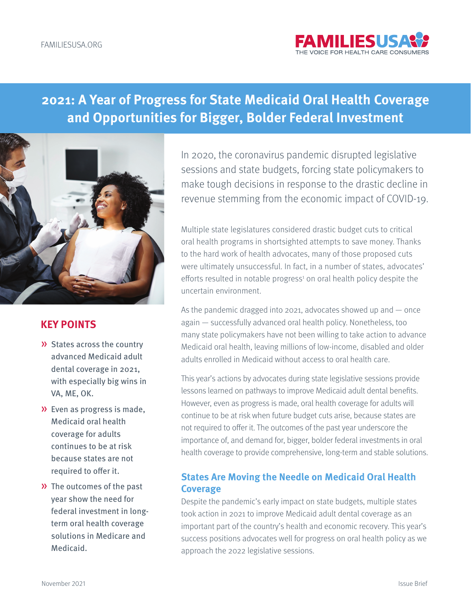

# **2021: A Year of Progress for State Medicaid Oral Health Coverage and Opportunities for Bigger, Bolder Federal Investment**



## **KEY POINTS**

- » States across the country advanced Medicaid adult dental coverage in 2021, with especially big wins in VA, ME, OK.
- » Even as progress is made, Medicaid oral health coverage for adults continues to be at risk because states are not required to offer it.
- » The outcomes of the past year show the need for federal investment in longterm oral health coverage solutions in Medicare and Medicaid.

In 2020, the coronavirus pandemic disrupted legislative sessions and state budgets, forcing state policymakers to make tough decisions in response to the drastic decline in revenue stemming from the economic impact of COVID-19.

Multiple state legislatures considered drastic budget cuts to critical oral health programs in shortsighted attempts to save money. Thanks to the hard work of health advocates, many of those proposed cuts were ultimately unsuccessful. In fact, in a number of states, advocates' efforts resulted in notable progress<sup>1</sup> on oral health policy despite the uncertain environment.

As the pandemic dragged into 2021, advocates showed up and  $-$  once again — successfully advanced oral health policy. Nonetheless, too many state policymakers have not been willing to take action to advance Medicaid oral health, leaving millions of low-income, disabled and older adults enrolled in Medicaid without access to oral health care.

This year's actions by advocates during state legislative sessions provide lessons learned on pathways to improve Medicaid adult dental benefits. However, even as progress is made, oral health coverage for adults will continue to be at risk when future budget cuts arise, because states are not required to offer it. The outcomes of the past year underscore the importance of, and demand for, bigger, bolder federal investments in oral health coverage to provide comprehensive, long-term and stable solutions.

# **States Are Moving the Needle on Medicaid Oral Health Coverage**

Despite the pandemic's early impact on state budgets, multiple states took action in 2021 to improve Medicaid adult dental coverage as an important part of the country's health and economic recovery. This year's success positions advocates well for progress on oral health policy as we approach the 2022 legislative sessions.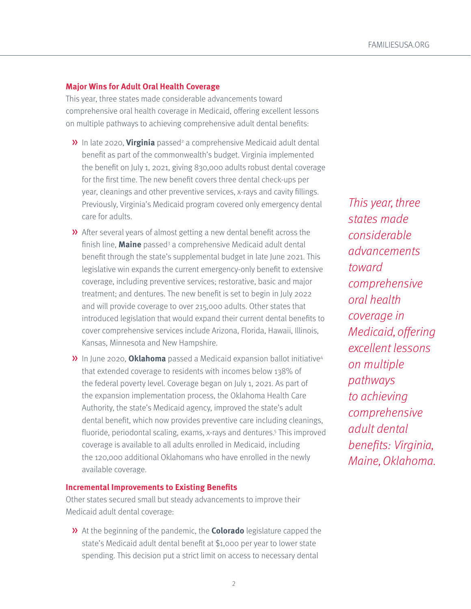#### **Major Wins for Adult Oral Health Coverage**

This year, three states made considerable advancements toward comprehensive oral health coverage in Medicaid, offering excellent lessons on multiple pathways to achieving comprehensive adult dental benefits:

- **»** In late 2020, *Virginia* passed<sup>2</sup> a comprehensive Medicaid adult dental benefit as part of the commonwealth's budget. Virginia implemented the benefit on July 1, 2021, giving 830,000 adults robust dental coverage for the first time. The new benefit covers three dental check-ups per year, cleanings and other preventive services, x-rays and cavity fillings. Previously, Virginia's Medicaid program covered only emergency dental care for adults.
- » After several years of almost getting a new dental benefit across the finish line, **Maine** passed<sup>3</sup> a comprehensive Medicaid adult dental benefit through the state's supplemental budget in late June 2021. This legislative win expands the current emergency-only benefit to extensive coverage, including preventive services; restorative, basic and major treatment; and dentures. The new benefit is set to begin in July 2022 and will provide coverage to over 215,000 adults. Other states that introduced legislation that would expand their current dental benefits to cover comprehensive services include Arizona, Florida, Hawaii, Illinois, Kansas, Minnesota and New Hampshire.
- » In June 2020, **Oklahoma** passed a Medicaid expansion ballot initiative4 that extended coverage to residents with incomes below 138% of the federal poverty level. Coverage began on July 1, 2021. As part of the expansion implementation process, the Oklahoma Health Care Authority, the state's Medicaid agency, improved the state's adult dental benefit, which now provides preventive care including cleanings, fluoride, periodontal scaling, exams, x-rays and dentures.<sup>5</sup> This improved coverage is available to all adults enrolled in Medicaid, including the 120,000 additional Oklahomans who have enrolled in the newly available coverage.

#### **Incremental Improvements to Existing Benefits**

Other states secured small but steady advancements to improve their Medicaid adult dental coverage:

» At the beginning of the pandemic, the **Colorado** legislature capped the state's Medicaid adult dental benefit at \$1,000 per year to lower state spending. This decision put a strict limit on access to necessary dental

This year, three states made considerable advancements toward comprehensive oral health coverage in Medicaid, offering excellent lessons on multiple pathways to achieving comprehensive adult dental benefits: Virginia, Maine, Oklahoma.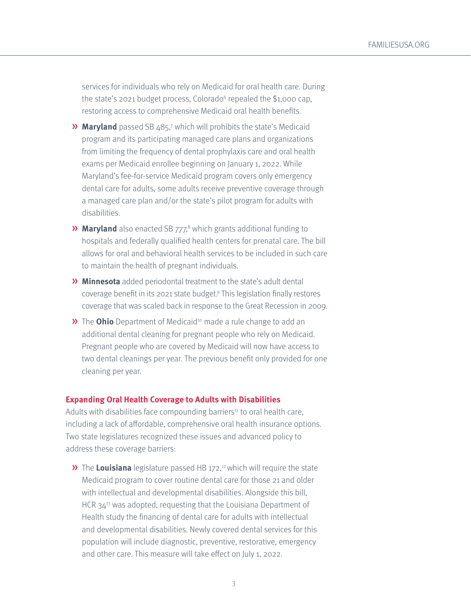services for individuals who rely on Medicaid for oral health care. During the state's 2021 budget process, Colorado<sup>6</sup> repealed the \$1,000 cap, restoring access to comprehensive Medicaid oral health benefits.

- **»** Maryland passed SB 485,7 which will prohibits the state's Medicaid program and its participating managed care plans and organizations from limiting the frequency of dental prophylaxis care and oral health exams per Medicaid enrollee beginning on January 1, 2022. While Maryland's fee-for-service Medicaid program covers only emergency dental care for adults, some adults receive preventive coverage through a managed care plan and/or the state's pilot program for adults with disabilities.
- **»** Maryland also enacted SB 777,<sup>8</sup> which grants additional funding to hospitals and federally qualified health centers for prenatal care. The bill allows for oral and behavioral health services to be included in such care to maintain the health of pregnant individuals.
- » **Minnesota** added periodontal treatment to the state's adult dental coverage benefit in its 2021 state budget.9 This legislation finally restores coverage that was scaled back in response to the Great Recession in 2009.
- **»** The **Ohio** Department of Medicaid<sup>10</sup> made a rule change to add an additional dental cleaning for pregnant people who rely on Medicaid. Pregnant people who are covered by Medicaid will now have access to two dental cleanings per year. The previous benefit only provided for one cleaning per year.

#### **Expanding Oral Health Coverage to Adults with Disabilities**

Adults with disabilities face compounding barriers<sup>11</sup> to oral health care, including a lack of affordable, comprehensive oral health insurance options. Two state legislatures recognized these issues and advanced policy to address these coverage barriers:

**»** The **Louisiana** legislature passed HB 172,<sup>12</sup> which will require the state Medicaid program to cover routine dental care for those 21 and older with intellectual and developmental disabilities. Alongside this bill, HCR 34<sup>13</sup> was adopted, requesting that the Louisiana Department of Health study the financing of dental care for adults with intellectual and developmental disabilities. Newly covered dental services for this population will include diagnostic, preventive, restorative, emergency and other care. This measure will take effect on July 1, 2022.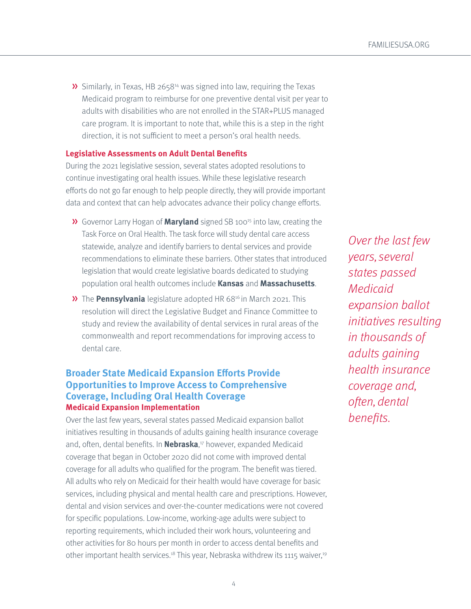» Similarly, in Texas, HB 265814 was signed into law, requiring the Texas Medicaid program to reimburse for one preventive dental visit per year to adults with disabilities who are not enrolled in the STAR+PLUS managed care program. It is important to note that, while this is a step in the right direction, it is not sufficient to meet a person's oral health needs.

#### **Legislative Assessments on Adult Dental Benefits**

During the 2021 legislative session, several states adopted resolutions to continue investigating oral health issues. While these legislative research efforts do not go far enough to help people directly, they will provide important data and context that can help advocates advance their policy change efforts.

- » Governor Larry Hogan of **Maryland** signed SB 10015 into law, creating the Task Force on Oral Health. The task force will study dental care access statewide, analyze and identify barriers to dental services and provide recommendations to eliminate these barriers. Other states that introduced legislation that would create legislative boards dedicated to studying population oral health outcomes include **Kansas** and **Massachusetts**.
- **»** The **Pennsylvania** legislature adopted HR 68<sup>16</sup> in March 2021. This resolution will direct the Legislative Budget and Finance Committee to study and review the availability of dental services in rural areas of the commonwealth and report recommendations for improving access to dental care.

## **Broader State Medicaid Expansion Efforts Provide Opportunities to Improve Access to Comprehensive Coverage, Including Oral Health Coverage Medicaid Expansion Implementation**

Over the last few years, several states passed Medicaid expansion ballot initiatives resulting in thousands of adults gaining health insurance coverage and, often, dental benefits. In **Nebraska**, 17 however, expanded Medicaid coverage that began in October 2020 did not come with improved dental coverage for all adults who qualified for the program. The benefit was tiered. All adults who rely on Medicaid for their health would have coverage for basic services, including physical and mental health care and prescriptions. However, dental and vision services and over-the-counter medications were not covered for specific populations. Low-income, working-age adults were subject to reporting requirements, which included their work hours, volunteering and other activities for 80 hours per month in order to access dental benefits and other important health services.<sup>18</sup> This year, Nebraska withdrew its 1115 waiver,<sup>19</sup>

Over the last few years, several states passed Medicaid expansion ballot initiatives resulting in thousands of adults gaining health insurance coverage and, often, dental benefits.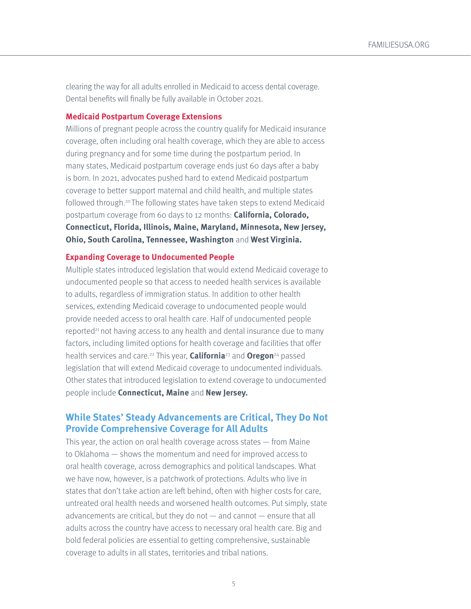clearing the way for all adults enrolled in Medicaid to access dental coverage. Dental benefits will finally be fully available in October 2021.

#### **Medicaid Postpartum Coverage Extensions**

Millions of pregnant people across the country qualify for Medicaid insurance coverage, often including oral health coverage, which they are able to access during pregnancy and for some time during the postpartum period. In many states, Medicaid postpartum coverage ends just 60 days after a baby is born. In 2021, advocates pushed hard to extend Medicaid postpartum coverage to better support maternal and child health, and multiple states followed through.<sup>20</sup> The following states have taken steps to extend Medicaid postpartum coverage from 60 days to 12 months: **California, Colorado, Connecticut, Florida, Illinois, Maine, Maryland, Minnesota, New Jersey, Ohio, South Carolina, Tennessee, Washington** and **West Virginia.**

#### **Expanding Coverage to Undocumented People**

Multiple states introduced legislation that would extend Medicaid coverage to undocumented people so that access to needed health services is available to adults, regardless of immigration status. In addition to other health services, extending Medicaid coverage to undocumented people would provide needed access to oral health care. Half of undocumented people reported<sup>21</sup> not having access to any health and dental insurance due to many factors, including limited options for health coverage and facilities that offer health services and care.22 This year, **California**23 and **Oregon**24 passed legislation that will extend Medicaid coverage to undocumented individuals. Other states that introduced legislation to extend coverage to undocumented people include **Connecticut, Maine** and **New Jersey.**

## **While States' Steady Advancements are Critical, They Do Not Provide Comprehensive Coverage for All Adults**

This year, the action on oral health coverage across states — from Maine to Oklahoma — shows the momentum and need for improved access to oral health coverage, across demographics and political landscapes. What we have now, however, is a patchwork of protections. Adults who live in states that don't take action are left behind, often with higher costs for care, untreated oral health needs and worsened health outcomes. Put simply, state advancements are critical, but they do not — and cannot — ensure that all adults across the country have access to necessary oral health care. Big and bold federal policies are essential to getting comprehensive, sustainable coverage to adults in all states, territories and tribal nations.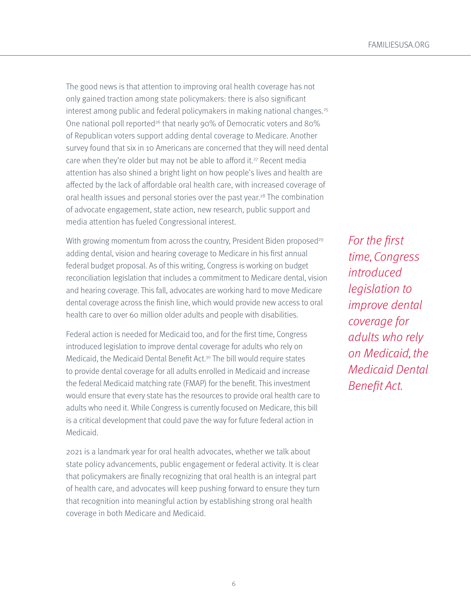The good news is that attention to improving oral health coverage has not only gained traction among state policymakers: there is also significant interest among public and federal policymakers in making national changes.<sup>25</sup> One national poll reported<sup>26</sup> that nearly 90% of Democratic voters and 80% of Republican voters support adding dental coverage to Medicare. Another survey found that six in 10 Americans are concerned that they will need dental care when they're older but may not be able to afford it.<sup>27</sup> Recent media attention has also shined a bright light on how people's lives and health are affected by the lack of affordable oral health care, with increased coverage of oral health issues and personal stories over the past year.<sup>28</sup> The combination of advocate engagement, state action, new research, public support and media attention has fueled Congressional interest.

With growing momentum from across the country, President Biden proposed<sup>29</sup> adding dental, vision and hearing coverage to Medicare in his first annual federal budget proposal. As of this writing, Congress is working on budget reconciliation legislation that includes a commitment to Medicare dental, vision and hearing coverage. This fall, advocates are working hard to move Medicare dental coverage across the finish line, which would provide new access to oral health care to over 60 million older adults and people with disabilities.

Federal action is needed for Medicaid too, and for the first time, Congress introduced legislation to improve dental coverage for adults who rely on Medicaid, the Medicaid Dental Benefit Act.<sup>30</sup> The bill would require states to provide dental coverage for all adults enrolled in Medicaid and increase the federal Medicaid matching rate (FMAP) for the benefit. This investment would ensure that every state has the resources to provide oral health care to adults who need it. While Congress is currently focused on Medicare, this bill is a critical development that could pave the way for future federal action in Medicaid.

2021 is a landmark year for oral health advocates, whether we talk about state policy advancements, public engagement or federal activity. It is clear that policymakers are finally recognizing that oral health is an integral part of health care, and advocates will keep pushing forward to ensure they turn that recognition into meaningful action by establishing strong oral health coverage in both Medicare and Medicaid.

For the first time, Congress introduced legislation to improve dental coverage for adults who rely on Medicaid, the Medicaid Dental Benefit Act.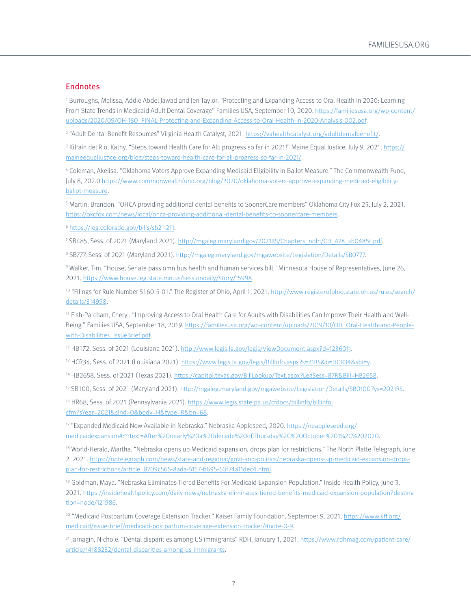#### Endnotes

1 Burroughs, Melissa, Addie Abdel Jawad and Jen Taylor. "Protecting and Expanding Access to Oral Health in 2020: Learning From State Trends in Medicaid Adult Dental Coverage" Families USA, September 10, 2020. [https://familiesusa.org/wp-content/](https://familiesusa.org/wp-content/uploads/2020/09/OH-180_FINAL-Protecting-and-Expanding-Access-to-Oral-Health-in-2020-Analysis-002.pdf) [uploads/2020/09/OH-180\\_FINAL-Protecting-and-Expanding-Access-to-Oral-Health-in-2020-Analysis-002.pdf](https://familiesusa.org/wp-content/uploads/2020/09/OH-180_FINAL-Protecting-and-Expanding-Access-to-Oral-Health-in-2020-Analysis-002.pdf).

<sup>2</sup> "Adult Dental Benefit Resources" Virginia Health Catalyst, 2021. <u><https://vahealthcatalyst.org/adultdentalbenefit/></u>.

<sup>3</sup> Kilrain del Rio, Kathy. "Steps toward Health Care for All: progress so far in 2021!" Maine Equal Justice, July 9, 2021. <u>[https://](https://maineequaljustice.org/blog/steps-toward-health-care-for-all-progress-so-far-in-2021/)</u> [maineequaljustice.org/blog/steps-toward-health-care-for-all-progress-so-far-in-2021/.](https://maineequaljustice.org/blog/steps-toward-health-care-for-all-progress-so-far-in-2021/)

4 Coleman, Akeiisa. "Oklahoma Voters Approve Expanding Medicaid Eligibility in Ballot Measure." The Commonwealth Fund, July 8, 202.0 [https://www.commonwealthfund.org/blog/2020/oklahoma-voters-approve-expanding-medicaid-eligibility](https://www.commonwealthfund.org/blog/2020/oklahoma-voters-approve-expanding-medicaid-eligibility-ballot-measure)[ballot-measure.](https://www.commonwealthfund.org/blog/2020/oklahoma-voters-approve-expanding-medicaid-eligibility-ballot-measure)

5 Martin, Brandon. "OHCA providing additional dental benefits to SoonerCare members" Oklahoma City Fox 25, July 2, 2021. [https://okcfox.com/news/local/ohca-providing-additional-dental-benefits-to-soonercare-members.](https://okcfox.com/news/local/ohca-providing-additional-dental-benefits-to-soonercare-members)

<sup>6</sup> <https://leg.colorado.gov/bills/sb21-211>.

<sup>7</sup> SB485, Sess. of 2021 (Maryland 2021). [http://mgaleg.maryland.gov/2021RS/Chapters\\_noln/CH\\_478\\_sb0485t.pdf](http://mgaleg.maryland.gov/2021RS/Chapters_noln/CH_478_sb0485t.pdf).

<sup>8</sup> SB777, Sess. of 2021 (Maryland 2021). <http://mgaleg.maryland.gov/mgawebsite/Legislation/Details/SB0777>.

9 Walker, Tim. "House, Senate pass omnibus health and human services bill." Minnesota House of Representatives, June 26, 2021. [https://www.house.leg.state.mn.us/sessiondaily/Story/15998.](https://www.house.leg.state.mn.us/sessiondaily/Story/15998)

<sup>10</sup> "Filings for Rule Number 5160-5-01." The Register of Ohio, April 1, 2021. [http://www.registerofohio.state.oh.us/rules/search/](http://www.registerofohio.state.oh.us/rules/search/details/314998) [details/314998.](http://www.registerofohio.state.oh.us/rules/search/details/314998)

11 Fish-Parcham, Cheryl. "Improving Access to Oral Health Care for Adults with Disabilities Can Improve Their Health and WellBeing." Families USA, September 18, 2019. [https://familiesusa.org/wp-content/uploads/2019/10/OH\\_Oral-Health-and-People](https://familiesusa.org/wp-content/uploads/2019/10/OH_Oral-Health-and-People-with-Disabilities_IssueBrief.pdf)[with-Disabilities\\_IssueBrief.pdf](https://familiesusa.org/wp-content/uploads/2019/10/OH_Oral-Health-and-People-with-Disabilities_IssueBrief.pdf).

<sup>12</sup> HB172, Sess. of 2021 (Louisiana 2021). <http://www.legis.la.gov/legis/ViewDocument.aspx?d=1236011>.

<sup>13</sup> HCR34, Sess. of 2021 (Louisiana 2021). <https://www.legis.la.gov/legis/BillInfo.aspx?s=21RS&b=HCR34&sbi=y>.

14 HB2658, Sess. of 2021 (Texas 2021). [https://capitol.texas.gov/BillLookup/Text.aspx?LegSess=87R&Bill=HB2658.](https://capitol.texas.gov/BillLookup/Text.aspx?LegSess=87R&Bill=HB2658)

15 SB100, Sess. of 2021 (Maryland 2021). [http://mgaleg.maryland.gov/mgawebsite/Legislation/Details/SB0100?ys=2021RS.](http://mgaleg.maryland.gov/mgawebsite/Legislation/Details/SB0100?ys=2021RS)

<sup>16</sup> HR68, Sess. of 2021 (Pennsylvania 2021). [https://www.legis.state.pa.us/cfdocs/billinfo/billinfo.](https://www.legis.state.pa.us/cfdocs/billinfo/billinfo.cfm?sYear=2021&sInd=0&body=H&type=R&bn=68) [cfm?sYear=2021&sInd=0&body=H&type=R&bn=68.](https://www.legis.state.pa.us/cfdocs/billinfo/billinfo.cfm?sYear=2021&sInd=0&body=H&type=R&bn=68)

17 "Expanded Medicaid Now Available in Nebraska." Nebraska Appleseed, 2020. https://neappleseed.org/ medicaidexpansion#:~:text=After%20nearly%20a%20decade%20of,Thursday%2C%20October%201%2C%202020.

<sup>18</sup> World-Herald, Martha. "Nebraska opens up Medicaid expansion, drops plan for restrictions." The North Platte Telegraph, June 2, 2021. [https://nptelegraph.com/news/state-and-regional/govt-and-politics/nebraska-opens-up-medicaid-expansion-drops](https://nptelegraph.com/news/state-and-regional/govt-and-politics/nebraska-opens-up-medicaid-expansion-drops-plan-for-restrictions/article_8709c565-8ada-5157-b695-63f74a11dec4.html)[plan-for-restrictions/article\\_8709c565-8ada-5157-b695-63f74a11dec4.html](https://nptelegraph.com/news/state-and-regional/govt-and-politics/nebraska-opens-up-medicaid-expansion-drops-plan-for-restrictions/article_8709c565-8ada-5157-b695-63f74a11dec4.html).

19 Goldman, Maya. "Nebraska Eliminates Tiered Benefits For Medicaid Expansion Population." Inside Health Policy, June 3, 2021. [https://insidehealthpolicy.com/daily-news/nebraska-eliminates-tiered-benefits-medicaid-expansion-population?destina](https://insidehealthpolicy.com/daily-news/nebraska-eliminates-tiered-benefits-medicaid-expansion-population?destination=node/121986) [tion=node/121986.](https://insidehealthpolicy.com/daily-news/nebraska-eliminates-tiered-benefits-medicaid-expansion-population?destination=node/121986)

<sup>20</sup> "Medicaid Postpartum Coverage Extension Tracker." Kaiser Family Foundation, September 9, 2021. https://www.kff.org/ medicaid/issue-brief/medicaid-postpartum-coverage-extension-tracker/#note-0-9.

21 Jarnagin, Nichole. "Dental disparities among US immigrants" RDH, January 1, 2021. [https://www.rdhmag.com/patient-care/](https://www.rdhmag.com/patient-care/article/14188232/dental-disparities-among-us-immigrants) [article/14188232/dental-disparities-among-us-immigrants](https://www.rdhmag.com/patient-care/article/14188232/dental-disparities-among-us-immigrants).